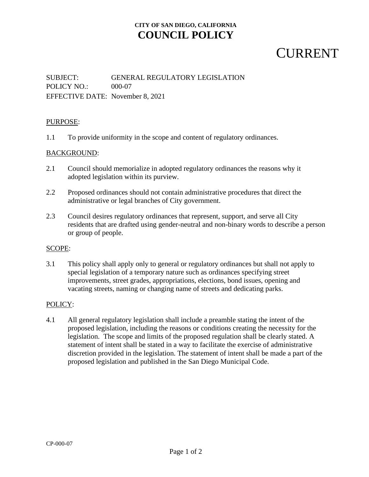## **CITY OF SAN DIEGO, CALIFORNIA COUNCIL POLICY**

## **CURRENT**

### SUBJECT: GENERAL REGULATORY LEGISLATION POLICY NO.: 000-07 EFFECTIVE DATE: November 8, 2021

#### PURPOSE:

1.1 To provide uniformity in the scope and content of regulatory ordinances.

#### BACKGROUND:

- 2.1 Council should memorialize in adopted regulatory ordinances the reasons why it adopted legislation within its purview.
- 2.2 Proposed ordinances should not contain administrative procedures that direct the administrative or legal branches of City government.
- 2.3 Council desires regulatory ordinances that represent, support, and serve all City residents that are drafted using gender-neutral and non-binary words to describe a person or group of people.

#### SCOPE:

3.1 This policy shall apply only to general or regulatory ordinances but shall not apply to special legislation of a temporary nature such as ordinances specifying street improvements, street grades, appropriations, elections, bond issues, opening and vacating streets, naming or changing name of streets and dedicating parks.

#### POLICY:

4.1 All general regulatory legislation shall include a preamble stating the intent of the proposed legislation, including the reasons or conditions creating the necessity for the legislation. The scope and limits of the proposed regulation shall be clearly stated. A statement of intent shall be stated in a way to facilitate the exercise of administrative discretion provided in the legislation. The statement of intent shall be made a part of the proposed legislation and published in the San Diego Municipal Code.